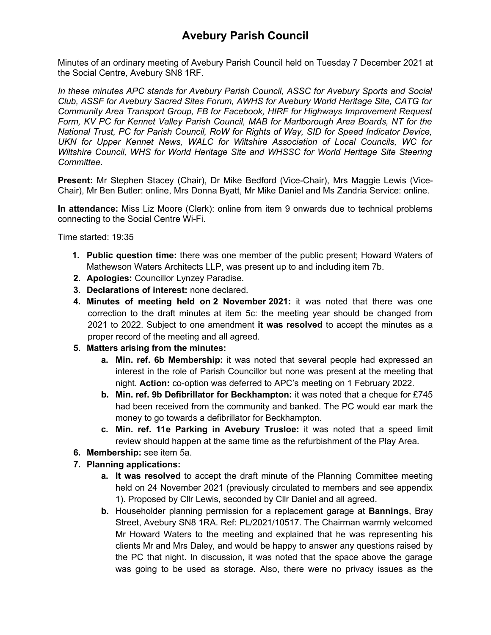Minutes of an ordinary meeting of Avebury Parish Council held on Tuesday 7 December 2021 at the Social Centre, Avebury SN8 1RF.

*In these minutes APC stands for Avebury Parish Council, ASSC for Avebury Sports and Social Club, ASSF for Avebury Sacred Sites Forum, AWHS for Avebury World Heritage Site, CATG for Community Area Transport Group, FB for Facebook, HIRF for Highways Improvement Request Form, KV PC for Kennet Valley Parish Council, MAB for Marlborough Area Boards, NT for the National Trust, PC for Parish Council, RoW for Rights of Way, SID for Speed Indicator Device, UKN for Upper Kennet News, WALC for Wiltshire Association of Local Councils, WC for Wiltshire Council, WHS for World Heritage Site and WHSSC for World Heritage Site Steering Committee.*

**Present:** Mr Stephen Stacey (Chair), Dr Mike Bedford (Vice-Chair), Mrs Maggie Lewis (Vice-Chair), Mr Ben Butler: online, Mrs Donna Byatt, Mr Mike Daniel and Ms Zandria Service: online.

**In attendance:** Miss Liz Moore (Clerk): online from item 9 onwards due to technical problems connecting to the Social Centre Wi-Fi.

Time started: 19:35

- **1. Public question time:** there was one member of the public present; Howard Waters of Mathewson Waters Architects LLP, was present up to and including item 7b.
- **2. Apologies:** Councillor Lynzey Paradise.
- **3. Declarations of interest:** none declared.
- **4. Minutes of meeting held on 2 November 2021:** it was noted that there was one correction to the draft minutes at item 5c: the meeting year should be changed from 2021 to 2022. Subject to one amendment **it was resolved** to accept the minutes as a proper record of the meeting and all agreed.
- **5. Matters arising from the minutes:**
	- **a. Min. ref. 6b Membership:** it was noted that several people had expressed an interest in the role of Parish Councillor but none was present at the meeting that night. **Action:** co-option was deferred to APC's meeting on 1 February 2022.
	- **b. Min. ref. 9b Defibrillator for Beckhampton:** it was noted that a cheque for £745 had been received from the community and banked. The PC would ear mark the money to go towards a defibrillator for Beckhampton.
	- **c. Min. ref. 11e Parking in Avebury Trusloe:** it was noted that a speed limit review should happen at the same time as the refurbishment of the Play Area.
- **6. Membership:** see item 5a.
- **7. Planning applications:**
	- **a. It was resolved** to accept the draft minute of the Planning Committee meeting held on 24 November 2021 (previously circulated to members and see appendix 1). Proposed by Cllr Lewis, seconded by Cllr Daniel and all agreed.
	- **b.** Householder planning permission for a replacement garage at **Bannings**, Bray Street, Avebury SN8 1RA. Ref: PL/2021/10517. The Chairman warmly welcomed Mr Howard Waters to the meeting and explained that he was representing his clients Mr and Mrs Daley, and would be happy to answer any questions raised by the PC that night. In discussion, it was noted that the space above the garage was going to be used as storage. Also, there were no privacy issues as the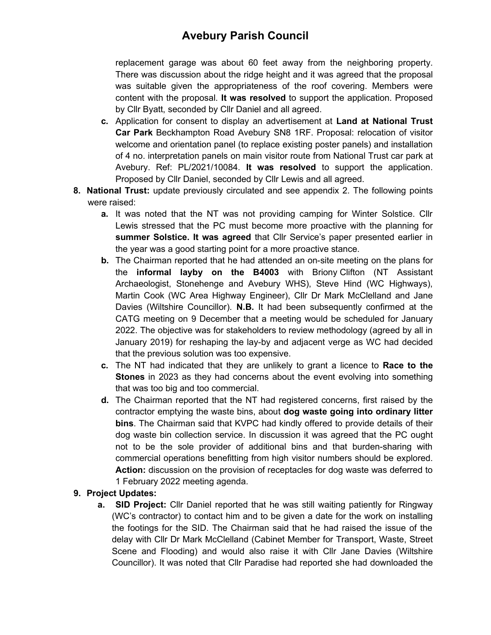replacement garage was about 60 feet away from the neighboring property. There was discussion about the ridge height and it was agreed that the proposal was suitable given the appropriateness of the roof covering. Members were content with the proposal. **It was resolved** to support the application. Proposed by Cllr Byatt, seconded by Cllr Daniel and all agreed.

- **c.** Application for consent to display an advertisement at **Land at National Trust Car Park** Beckhampton Road Avebury SN8 1RF. Proposal: relocation of visitor welcome and orientation panel (to replace existing poster panels) and installation of 4 no. interpretation panels on main visitor route from National Trust car park at Avebury. Ref: PL/2021/10084. **It was resolved** to support the application. Proposed by Cllr Daniel, seconded by Cllr Lewis and all agreed.
- **8. National Trust:** update previously circulated and see appendix 2. The following points were raised:
	- **a.** It was noted that the NT was not providing camping for Winter Solstice. Cllr Lewis stressed that the PC must become more proactive with the planning for **summer Solstice. It was agreed** that Cllr Service's paper presented earlier in the year was a good starting point for a more proactive stance.
	- **b.** The Chairman reported that he had attended an on-site meeting on the plans for the **informal layby on the B4003** with Briony Clifton (NT Assistant Archaeologist, Stonehenge and Avebury WHS), Steve Hind (WC Highways), Martin Cook (WC Area Highway Engineer), Cllr Dr Mark McClelland and Jane Davies (Wiltshire Councillor). **N.B.** It had been subsequently confirmed at the CATG meeting on 9 December that a meeting would be scheduled for January 2022. The objective was for stakeholders to review methodology (agreed by all in January 2019) for reshaping the lay-by and adjacent verge as WC had decided that the previous solution was too expensive.
	- **c.** The NT had indicated that they are unlikely to grant a licence to **Race to the Stones** in 2023 as they had concerns about the event evolving into something that was too big and too commercial.
	- **d.** The Chairman reported that the NT had registered concerns, first raised by the contractor emptying the waste bins, about **dog waste going into ordinary litter bins**. The Chairman said that KVPC had kindly offered to provide details of their dog waste bin collection service. In discussion it was agreed that the PC ought not to be the sole provider of additional bins and that burden-sharing with commercial operations benefitting from high visitor numbers should be explored. **Action:** discussion on the provision of receptacles for dog waste was deferred to 1 February 2022 meeting agenda.

### **9. Project Updates:**

**a. SID Project:** Cllr Daniel reported that he was still waiting patiently for Ringway (WC's contractor) to contact him and to be given a date for the work on installing the footings for the SID. The Chairman said that he had raised the issue of the delay with Cllr Dr Mark McClelland (Cabinet Member for Transport, Waste, Street Scene and Flooding) and would also raise it with Cllr Jane Davies (Wiltshire Councillor). It was noted that Cllr Paradise had reported she had downloaded the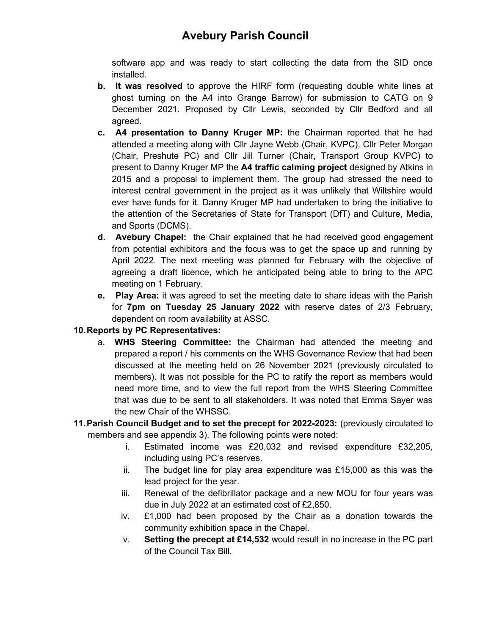software app and was ready to start collecting the data from the SID once installed.

- **b. It was resolved** to approve the HIRF form (requesting double white lines at ghost turning on the A4 into Grange Barrow) for submission to CATG on 9 December 2021. Proposed by Cllr Lewis, seconded by Cllr Bedford and all agreed.
- **c. A4 presentation to Danny Kruger MP:** the Chairman reported that he had attended a meeting along with Cllr Jayne Webb (Chair, KVPC), Cllr Peter Morgan (Chair, Preshute PC) and Cllr Jill Turner (Chair, Transport Group KVPC) to present to Danny Kruger MP the **A4 traffic calming project** designed by Atkins in 2015 and a proposal to implement them. The group had stressed the need to interest central government in the project as it was unlikely that Wiltshire would ever have funds for it. Danny Kruger MP had undertaken to bring the initiative to the attention of the Secretaries of State for Transport (DfT) and Culture, Media, and Sports (DCMS).
- **d. Avebury Chapel:** the Chair explained that he had received good engagement from potential exhibitors and the focus was to get the space up and running by April 2022. The next meeting was planned for February with the objective of agreeing a draft licence, which he anticipated being able to bring to the APC meeting on 1 February.
- **e. Play Area:** it was agreed to set the meeting date to share ideas with the Parish for **7pm on Tuesday 25 January 2022** with reserve dates of 2/3 February, dependent on room availability at ASSC.

### **10.Reports by PC Representatives:**

- a. **WHS Steering Committee:** the Chairman had attended the meeting and prepared a report / his comments on the WHS Governance Review that had been discussed at the meeting held on 26 November 2021 (previously circulated to members). It was not possible for the PC to ratify the report as members would need more time, and to view the full report from the WHS Steering Committee that was due to be sent to all stakeholders. It was noted that Emma Sayer was the new Chair of the WHSSC.
- **11.Parish Council Budget and to set the precept for 2022-2023:** (previously circulated to members and see appendix 3). The following points were noted:
	- i. Estimated income was £20,032 and revised expenditure £32,205, including using PC's reserves.
	- ii. The budget line for play area expenditure was £15,000 as this was the lead project for the year.
	- iii. Renewal of the defibrillator package and a new MOU for four years was due in July 2022 at an estimated cost of £2,850.
	- iv. £1,000 had been proposed by the Chair as a donation towards the community exhibition space in the Chapel.
	- v. **Setting the precept at £14,532** would result in no increase in the PC part of the Council Tax Bill.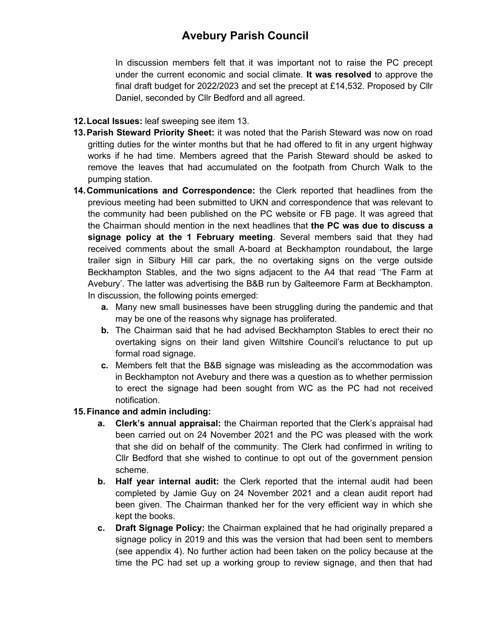In discussion members felt that it was important not to raise the PC precept under the current economic and social climate. **It was resolved** to approve the final draft budget for 2022/2023 and set the precept at £14,532. Proposed by Cllr Daniel, seconded by Cllr Bedford and all agreed.

#### **12.Local Issues:** leaf sweeping see item 13.

- **13.Parish Steward Priority Sheet:** it was noted that the Parish Steward was now on road gritting duties for the winter months but that he had offered to fit in any urgent highway works if he had time. Members agreed that the Parish Steward should be asked to remove the leaves that had accumulated on the footpath from Church Walk to the pumping station.
- **14.Communications and Correspondence:** the Clerk reported that headlines from the previous meeting had been submitted to UKN and correspondence that was relevant to the community had been published on the PC website or FB page. It was agreed that the Chairman should mention in the next headlines that **the PC was due to discuss a signage policy at the 1 February meeting**. Several members said that they had received comments about the small A-board at Beckhampton roundabout, the large trailer sign in Silbury Hill car park, the no overtaking signs on the verge outside Beckhampton Stables, and the two signs adjacent to the A4 that read 'The Farm at Avebury'. The latter was advertising the B&B run by Galteemore Farm at Beckhampton. In discussion, the following points emerged:
	- **a.** Many new small businesses have been struggling during the pandemic and that may be one of the reasons why signage has proliferated.
	- **b.** The Chairman said that he had advised Beckhampton Stables to erect their no overtaking signs on their land given Wiltshire Council's reluctance to put up formal road signage.
	- **c.** Members felt that the B&B signage was misleading as the accommodation was in Beckhampton not Avebury and there was a question as to whether permission to erect the signage had been sought from WC as the PC had not received notification.

### **15.Finance and admin including:**

- **a. Clerk's annual appraisal:** the Chairman reported that the Clerk's appraisal had been carried out on 24 November 2021 and the PC was pleased with the work that she did on behalf of the community. The Clerk had confirmed in writing to Cllr Bedford that she wished to continue to opt out of the government pension scheme.
- **b. Half year internal audit:** the Clerk reported that the internal audit had been completed by Jamie Guy on 24 November 2021 and a clean audit report had been given. The Chairman thanked her for the very efficient way in which she kept the books.
- **c. Draft Signage Policy:** the Chairman explained that he had originally prepared a signage policy in 2019 and this was the version that had been sent to members (see appendix 4). No further action had been taken on the policy because at the time the PC had set up a working group to review signage, and then that had